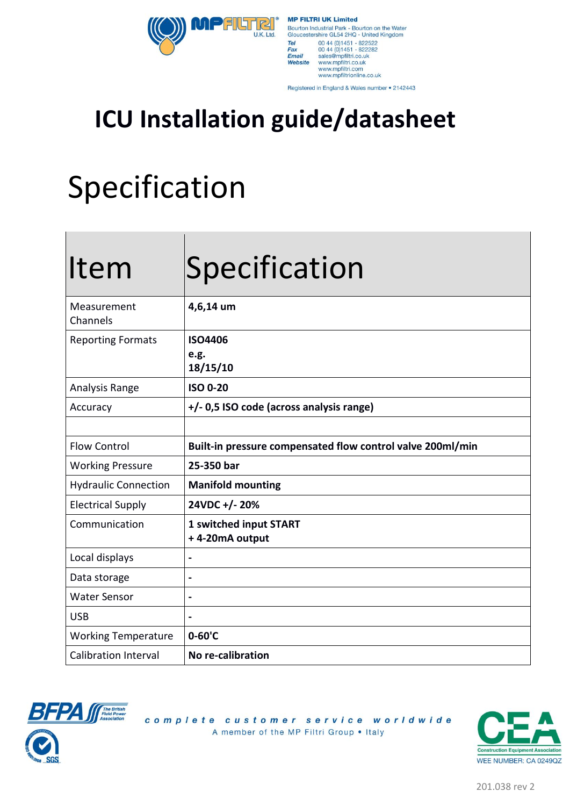**PFILTRI** U.K. Ltd

**MP FILTRI UK Limited** Bourton Industrial Park - Bourton on the Water<br>Gloucestershire GL54 2HQ - United Kingdom Tel<br>Fax 00 44 (0) 1451 - 822522<br>00 44 (0) 1451 - 822282 Fax<br>Email<br>Website sales@mpfiltri.co.uk<br>www.mpfiltri.co.uk www.mpmm.co.uk<br>www.mpfiltri.com<br>www.mpfiltrionline.co.uk

Registered in England & Wales number . 2142443

### **ICU Installation guide/datasheet**

### Specification

| Item                        | Specification                                              |  |
|-----------------------------|------------------------------------------------------------|--|
| Measurement<br>Channels     | 4,6,14 um                                                  |  |
| <b>Reporting Formats</b>    | <b>ISO4406</b><br>e.g.<br>18/15/10                         |  |
| Analysis Range              | <b>ISO 0-20</b>                                            |  |
| Accuracy                    | +/- 0,5 ISO code (across analysis range)                   |  |
|                             |                                                            |  |
| <b>Flow Control</b>         | Built-in pressure compensated flow control valve 200ml/min |  |
| <b>Working Pressure</b>     | 25-350 bar                                                 |  |
| <b>Hydraulic Connection</b> | <b>Manifold mounting</b>                                   |  |
| <b>Electrical Supply</b>    | 24VDC +/- 20%                                              |  |
| Communication               | 1 switched input START<br>+4-20mA output                   |  |
| Local displays              |                                                            |  |
| Data storage                | $\blacksquare$                                             |  |
| <b>Water Sensor</b>         | $\blacksquare$                                             |  |
| <b>USB</b>                  |                                                            |  |
| <b>Working Temperature</b>  | $0 - 60$ 'C                                                |  |
| <b>Calibration Interval</b> | No re-calibration                                          |  |



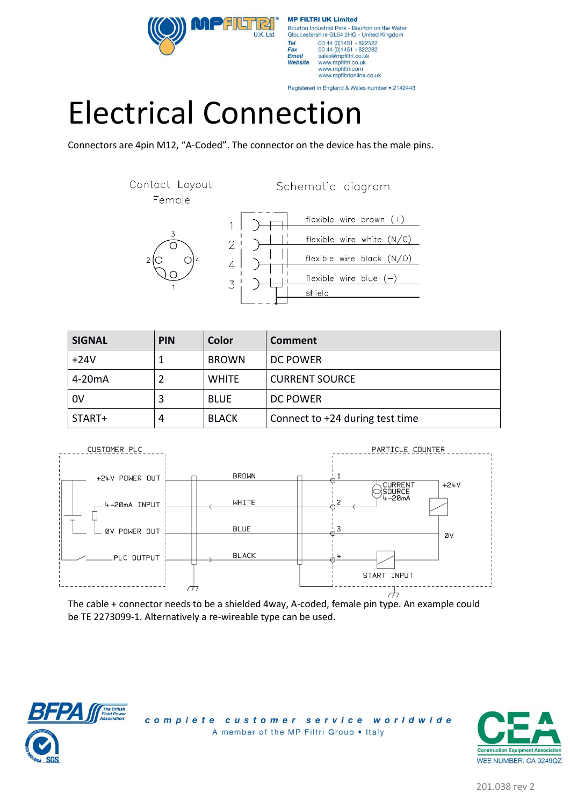$IJK$  I to



Registered in England & Wales number . 2142443

# Electrical Connection

Connectors are 4pin M12, "A-Coded". The connector on the device has the male pins.

Contact Layout Schematic diagram Female flexible wire brown  $(+)$ 1 flexible wire white  $(N/C)$  $\overline{2}$ flexible wire black (N/O)  $\overline{4}$ flexible wire blue  $(-)$ 3 shield

| <b>SIGNAL</b>       | <b>PIN</b> | Color        | Comment                         |
|---------------------|------------|--------------|---------------------------------|
| $+24V$              |            | <b>BROWN</b> | DC POWER                        |
| 4-20 <sub>m</sub> A |            | <b>WHITE</b> | <b>CURRENT SOURCE</b>           |
| 0V                  | 3          | <b>BLUE</b>  | <b>DC POWER</b>                 |
| START+              | 4          | <b>BLACK</b> | Connect to +24 during test time |



The cable + connector needs to be a shielded 4way, A-coded, female pin type. An example could be TE 2273099-1. Alternatively a re-wireable type can be used.



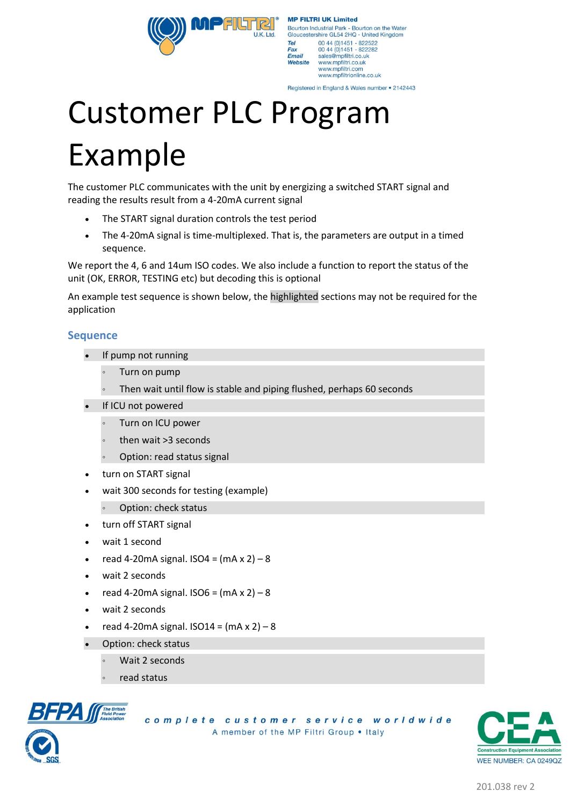Gloucestershire GL54 2HQ - United Kingdom 00 44 (0) 1451 - 822522<br>00 44 (0) 1451 - 822282 Tel Fax Email sales@mpfiltri.co.uk<br>www.mpfiltri.co.uk Website www.mpfiltri.com www.mpfiltrionline.co.uk

Bourton Industrial Park - Bourton on the Water

**MP FILTRI UK Limited** 

Registered in England & Wales number . 2142443

# Customer PLC Program Example

**PFILITRI** 

LLK Ltd

The customer PLC communicates with the unit by energizing a switched START signal and reading the results result from a 4-20mA current signal

- The START signal duration controls the test period
- The 4-20mA signal is time-multiplexed. That is, the parameters are output in a timed sequence.

We report the 4, 6 and 14um ISO codes. We also include a function to report the status of the unit (OK, ERROR, TESTING etc) but decoding this is optional

An example test sequence is shown below, the highlighted sections may not be required for the application

#### **Sequence**

- If pump not running
	- Turn on pump
	- Then wait until flow is stable and piping flushed, perhaps 60 seconds
- If ICU not powered
	- Turn on ICU power
	- then wait >3 seconds
	- Option: read status signal
- turn on START signal
- wait 300 seconds for testing (example)
	- Option: check status
	- turn off START signal
- wait 1 second
- read 4-20mA signal.  $ISO4 = (mA \times 2) 8$
- wait 2 seconds
- read 4-20mA signal.  $ISO6 = (mA \times 2) 8$
- wait 2 seconds
- read 4-20mA signal.  $ISO14 = (mA \times 2) 8$
- Option: check status
	- Wait 2 seconds
	- read status



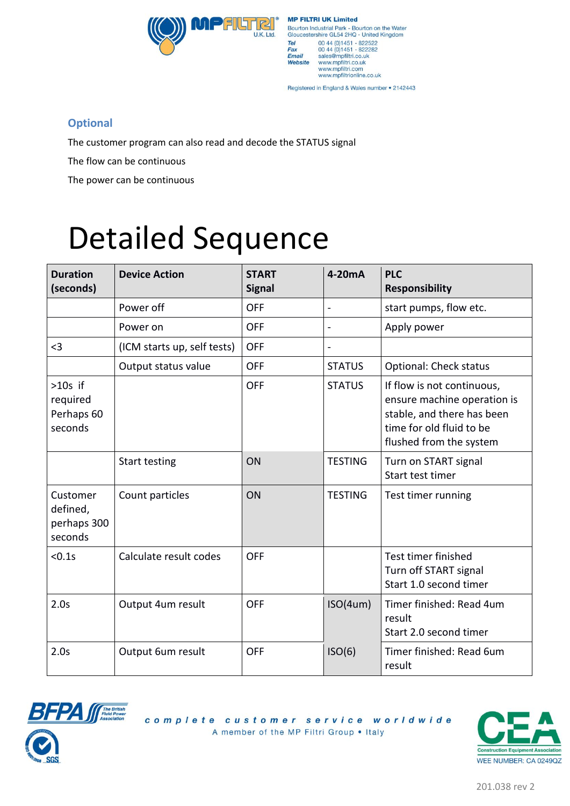

| <b>MP FILTRI UK Limited</b>           |                                                                                                                                                  |  |  |  |
|---------------------------------------|--------------------------------------------------------------------------------------------------------------------------------------------------|--|--|--|
|                                       | Bourton Industrial Park - Bourton on the Water<br>Gloucestershire GL54 2HQ - United Kingdom                                                      |  |  |  |
| Tel<br>Fax<br><b>Email</b><br>Website | 00 44 (0) 1451 - 822522<br>00 44 (0) 1451 - 822282<br>sales@mpfiltri.co.uk<br>www.mpfiltri.co.uk<br>www.mpfiltri.com<br>www.mpfiltrionline.co.uk |  |  |  |

Registered in England & Wales number . 2142443

### **Optional**

The customer program can also read and decode the STATUS signal

The flow can be continuous

The power can be continuous

# Detailed Sequence

| <b>Duration</b><br>(seconds)                   | <b>Device Action</b>        | <b>START</b><br><b>Signal</b> | 4-20mA                   | <b>PLC</b><br><b>Responsibility</b>                                                                                                            |
|------------------------------------------------|-----------------------------|-------------------------------|--------------------------|------------------------------------------------------------------------------------------------------------------------------------------------|
|                                                | Power off                   | <b>OFF</b>                    | $\frac{1}{2}$            | start pumps, flow etc.                                                                                                                         |
|                                                | Power on                    | <b>OFF</b>                    | $\overline{a}$           | Apply power                                                                                                                                    |
| $3$                                            | (ICM starts up, self tests) | <b>OFF</b>                    | $\overline{\phantom{a}}$ |                                                                                                                                                |
|                                                | Output status value         | <b>OFF</b>                    | <b>STATUS</b>            | <b>Optional: Check status</b>                                                                                                                  |
| $>10s$ if<br>required<br>Perhaps 60<br>seconds |                             | <b>OFF</b>                    | <b>STATUS</b>            | If flow is not continuous,<br>ensure machine operation is<br>stable, and there has been<br>time for old fluid to be<br>flushed from the system |
|                                                | Start testing               | ON                            | <b>TESTING</b>           | Turn on START signal<br>Start test timer                                                                                                       |
| Customer<br>defined,<br>perhaps 300<br>seconds | Count particles             | ON                            | <b>TESTING</b>           | Test timer running                                                                                                                             |
| < 0.1s                                         | Calculate result codes      | <b>OFF</b>                    |                          | Test timer finished<br>Turn off START signal<br>Start 1.0 second timer                                                                         |
| 2.0s                                           | Output 4um result           | <b>OFF</b>                    | ISO(4um)                 | Timer finished: Read 4um<br>result<br>Start 2.0 second timer                                                                                   |
| 2.0s                                           | Output 6um result           | <b>OFF</b>                    | ISO(6)                   | Timer finished: Read 6um<br>result                                                                                                             |



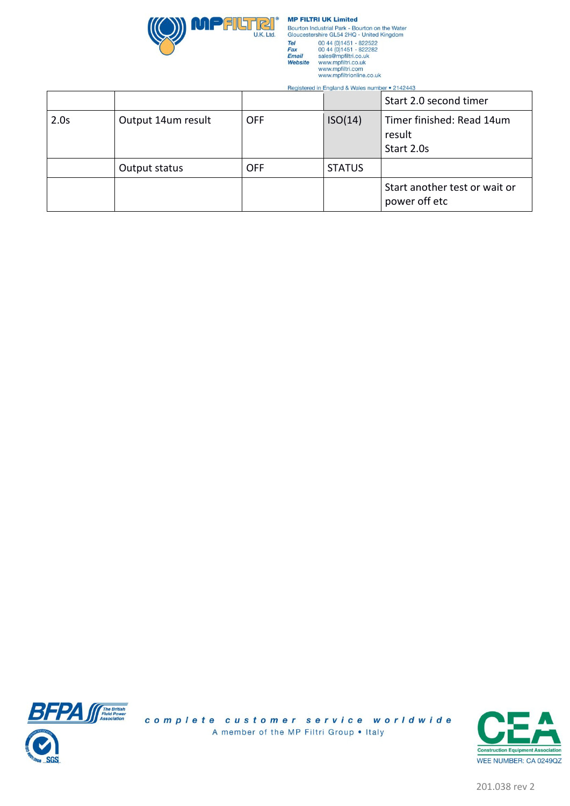

**MP FILTRI UK Limited** Bourton Industrial Park - Bourton on the Water<br>Gloucestershire GL54 2HQ - United Kingdom rshire GL54 2HQ - United Ki<br>00 44 (0)1451 - 822522<br>00 44 (0)1451 - 822382<br>sales@mpfiltri.co.uk<br>www.mpfiltri.co.uk<br>www.mpfiltri.co.uk<br>www.mpfiltri.com Tel<br>Tel<br>Fax<br>Email<br>Website

 $\sim$  $\sim$   $\sim$   $\sim$   $\sim$   $\sim$  $.0140449$ 

|      |                    |            |               | Start 2.0 second timer                            |
|------|--------------------|------------|---------------|---------------------------------------------------|
| 2.0s | Output 14um result | <b>OFF</b> | ISO(14)       | Timer finished: Read 14um<br>result<br>Start 2.0s |
|      | Output status      | <b>OFF</b> | <b>STATUS</b> |                                                   |
|      |                    |            |               | Start another test or wait or<br>power off etc    |

J.



complete customer service worldwide A member of the MP Filtri Group . Italy



201.038 rev 2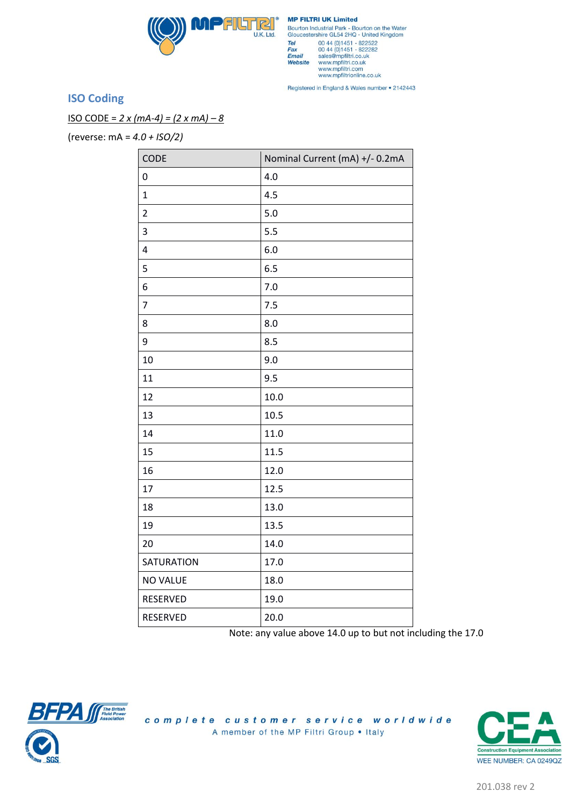

**MP FILTRI UK Limited** Bourton Industrial Park - Bourton on the Water<br>Gloucestershire GL54 2HQ - United Kingdom olice 2014<br>
2014 (0)1451 - 822522<br>
00 44 (0)1451 - 822522<br>
sales@mpfiltri.co.uk<br>
www.mpfiltri.co.uk<br>
www.mpfiltri.co.uk<br>
www.mpfiltri.co.uk<br>
www.mpfiltri.co.uk Tel<br>Fax Fax<br>Email<br>Website

Registered in England & Wales number . 2142443

### **ISO Coding**

ISO CODE = *2 x (mA-4) = (2 x mA) – 8*

(reverse: mA = *4.0 + ISO/2)*

| CODE                    | Nominal Current (mA) +/- 0.2mA |
|-------------------------|--------------------------------|
| 0                       | 4.0                            |
| $\mathbf{1}$            | 4.5                            |
| $\overline{2}$          | 5.0                            |
| 3                       | 5.5                            |
| $\overline{\mathbf{4}}$ | 6.0                            |
| 5                       | 6.5                            |
| 6                       | 7.0                            |
| $\overline{7}$          | 7.5                            |
| 8                       | 8.0                            |
| 9                       | 8.5                            |
| 10                      | 9.0                            |
| 11                      | 9.5                            |
| 12                      | 10.0                           |
| 13                      | 10.5                           |
| 14                      | 11.0                           |
| 15                      | 11.5                           |
| 16                      | 12.0                           |
| 17                      | 12.5                           |
| 18                      | 13.0                           |
| 19                      | 13.5                           |
| 20                      | 14.0                           |
| SATURATION              | 17.0                           |
| <b>NO VALUE</b>         | 18.0                           |
| RESERVED                | 19.0                           |
| RESERVED                | 20.0                           |

Note: any value above 14.0 up to but not including the 17.0